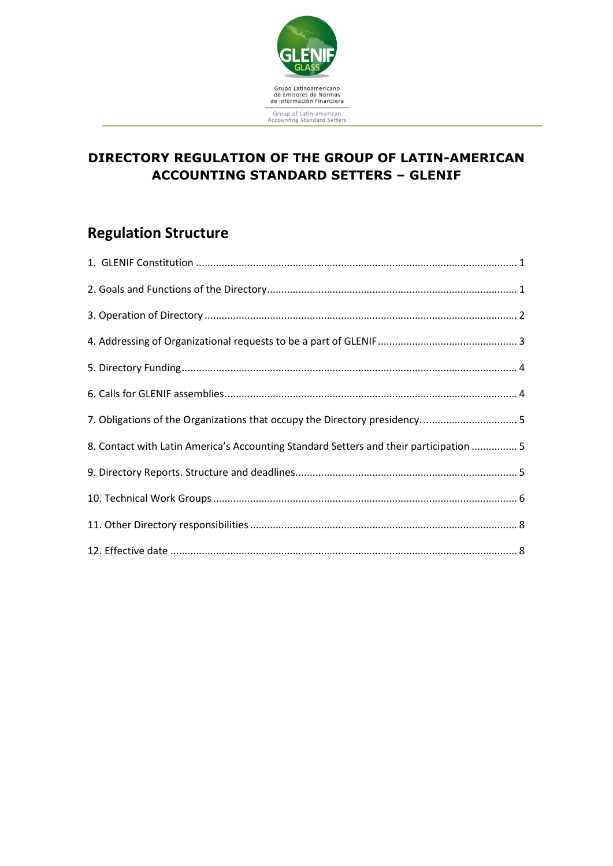

## **DIRECTORY REGULATION OF THE GROUP OF LATIN-AMERICAN ACCOUNTING STANDARD SETTERS – GLENIF**

# **Regulation Structure**

| 7. Obligations of the Organizations that occupy the Directory presidency5              |
|----------------------------------------------------------------------------------------|
| 8. Contact with Latin America's Accounting Standard Setters and their participation  5 |
|                                                                                        |
|                                                                                        |
|                                                                                        |
|                                                                                        |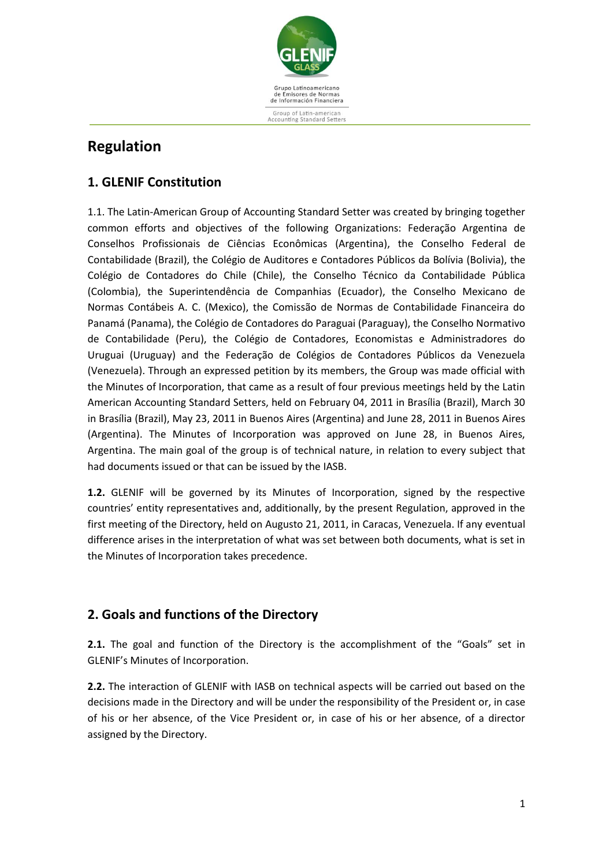

## **Regulation**

## <span id="page-1-0"></span>**1. GLENIF Constitution**

1.1. The Latin-American Group of Accounting Standard Setter was created by bringing together common efforts and objectives of the following Organizations: Federação Argentina de Conselhos Profissionais de Ciências Econômicas (Argentina), the Conselho Federal de Contabilidade (Brazil), the Colégio de Auditores e Contadores Públicos da Bolívia (Bolivia), the Colégio de Contadores do Chile (Chile), the Conselho Técnico da Contabilidade Pública (Colombia), the Superintendência de Companhias (Ecuador), the Conselho Mexicano de Normas Contábeis A. C. (Mexico), the Comissão de Normas de Contabilidade Financeira do Panamá (Panama), the Colégio de Contadores do Paraguai (Paraguay), the Conselho Normativo de Contabilidade (Peru), the Colégio de Contadores, Economistas e Administradores do Uruguai (Uruguay) and the Federação de Colégios de Contadores Públicos da Venezuela (Venezuela). Through an expressed petition by its members, the Group was made official with the Minutes of Incorporation, that came as a result of four previous meetings held by the Latin American Accounting Standard Setters, held on February 04, 2011 in Brasília (Brazil), March 30 in Brasília (Brazil), May 23, 2011 in Buenos Aires (Argentina) and June 28, 2011 in Buenos Aires (Argentina). The Minutes of Incorporation was approved on June 28, in Buenos Aires, Argentina. The main goal of the group is of technical nature, in relation to every subject that had documents issued or that can be issued by the IASB.

**1.2.** GLENIF will be governed by its Minutes of Incorporation, signed by the respective countries' entity representatives and, additionally, by the present Regulation, approved in the first meeting of the Directory, held on Augusto 21, 2011, in Caracas, Venezuela. If any eventual difference arises in the interpretation of what was set between both documents, what is set in the Minutes of Incorporation takes precedence.

## <span id="page-1-1"></span>**2. Goals and functions of the Directory**

**2.1.** The goal and function of the Directory is the accomplishment of the "Goals" set in GLENIF's Minutes of Incorporation.

**2.2.** The interaction of GLENIF with IASB on technical aspects will be carried out based on the decisions made in the Directory and will be under the responsibility of the President or, in case of his or her absence, of the Vice President or, in case of his or her absence, of a director assigned by the Directory.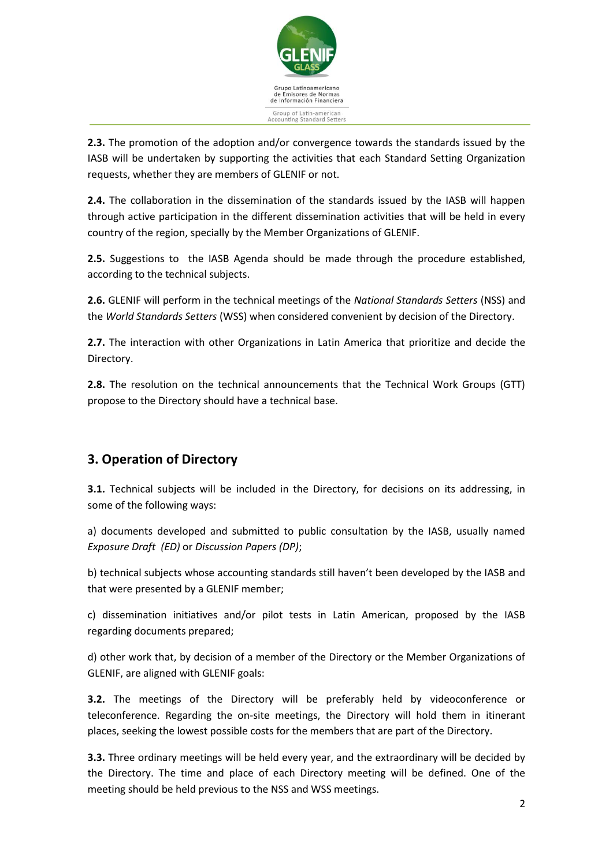

**2.3.** The promotion of the adoption and/or convergence towards the standards issued by the IASB will be undertaken by supporting the activities that each Standard Setting Organization requests, whether they are members of GLENIF or not.

**2.4.** The collaboration in the dissemination of the standards issued by the IASB will happen through active participation in the different dissemination activities that will be held in every country of the region, specially by the Member Organizations of GLENIF.

**2.5.** Suggestions to the IASB Agenda should be made through the procedure established, according to the technical subjects.

**2.6.** GLENIF will perform in the technical meetings of the *National Standards Setters* (NSS) and the *World Standards Setters* (WSS) when considered convenient by decision of the Directory.

**2.7.** The interaction with other Organizations in Latin America that prioritize and decide the Directory.

**2.8.** The resolution on the technical announcements that the Technical Work Groups (GTT) propose to the Directory should have a technical base.

## <span id="page-2-0"></span>**3. Operation of Directory**

**3.1.** Technical subjects will be included in the Directory, for decisions on its addressing, in some of the following ways:

a) documents developed and submitted to public consultation by the IASB, usually named *Exposure Draft (ED)* or *Discussion Papers (DP)*;

b) technical subjects whose accounting standards still haven't been developed by the IASB and that were presented by a GLENIF member;

c) dissemination initiatives and/or pilot tests in Latin American, proposed by the IASB regarding documents prepared;

d) other work that, by decision of a member of the Directory or the Member Organizations of GLENIF, are aligned with GLENIF goals:

**3.2.** The meetings of the Directory will be preferably held by videoconference or teleconference. Regarding the on-site meetings, the Directory will hold them in itinerant places, seeking the lowest possible costs for the members that are part of the Directory.

**3.3.** Three ordinary meetings will be held every year, and the extraordinary will be decided by the Directory. The time and place of each Directory meeting will be defined. One of the meeting should be held previous to the NSS and WSS meetings.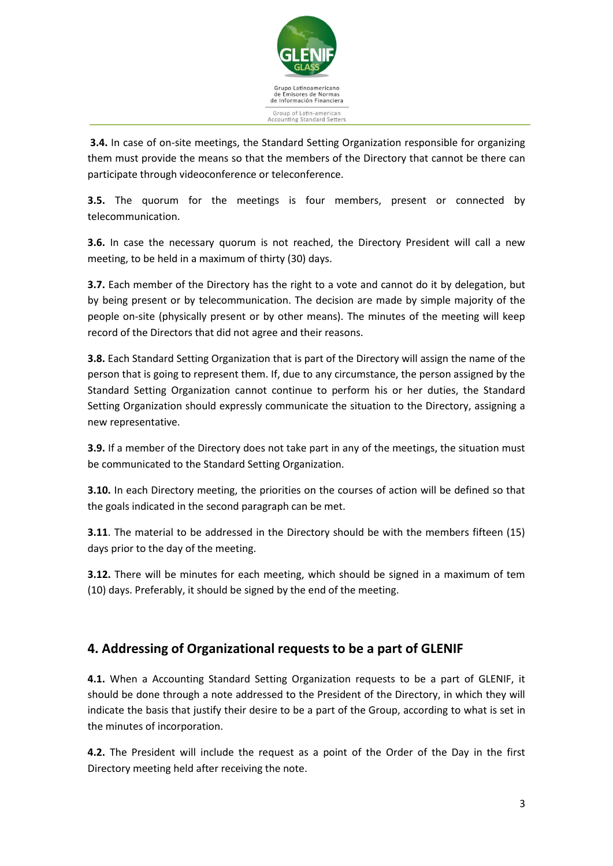

**3.4.** In case of on-site meetings, the Standard Setting Organization responsible for organizing them must provide the means so that the members of the Directory that cannot be there can participate through videoconference or teleconference.

**3.5.** The quorum for the meetings is four members, present or connected by telecommunication.

**3.6.** In case the necessary quorum is not reached, the Directory President will call a new meeting, to be held in a maximum of thirty (30) days.

**3.7.** Each member of the Directory has the right to a vote and cannot do it by delegation, but by being present or by telecommunication. The decision are made by simple majority of the people on-site (physically present or by other means). The minutes of the meeting will keep record of the Directors that did not agree and their reasons.

**3.8.** Each Standard Setting Organization that is part of the Directory will assign the name of the person that is going to represent them. If, due to any circumstance, the person assigned by the Standard Setting Organization cannot continue to perform his or her duties, the Standard Setting Organization should expressly communicate the situation to the Directory, assigning a new representative.

**3.9.** If a member of the Directory does not take part in any of the meetings, the situation must be communicated to the Standard Setting Organization.

**3.10.** In each Directory meeting, the priorities on the courses of action will be defined so that the goals indicated in the second paragraph can be met.

**3.11**. The material to be addressed in the Directory should be with the members fifteen (15) days prior to the day of the meeting.

**3.12.** There will be minutes for each meeting, which should be signed in a maximum of tem (10) days. Preferably, it should be signed by the end of the meeting.

## <span id="page-3-0"></span>**4. Addressing of Organizational requests to be a part of GLENIF**

**4.1.** When a Accounting Standard Setting Organization requests to be a part of GLENIF, it should be done through a note addressed to the President of the Directory, in which they will indicate the basis that justify their desire to be a part of the Group, according to what is set in the minutes of incorporation.

**4.2.** The President will include the request as a point of the Order of the Day in the first Directory meeting held after receiving the note.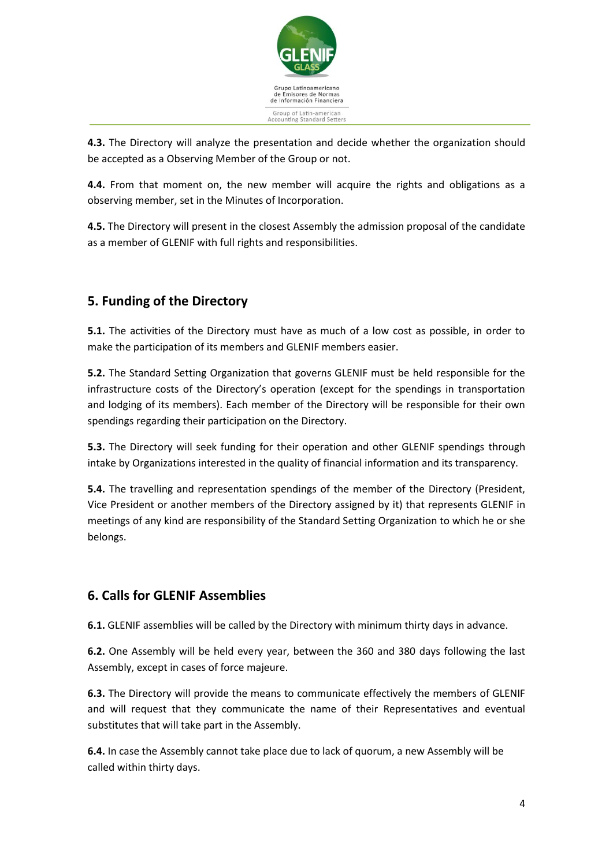

**4.3.** The Directory will analyze the presentation and decide whether the organization should be accepted as a Observing Member of the Group or not.

**4.4.** From that moment on, the new member will acquire the rights and obligations as a observing member, set in the Minutes of Incorporation.

**4.5.** The Directory will present in the closest Assembly the admission proposal of the candidate as a member of GLENIF with full rights and responsibilities.

## <span id="page-4-0"></span>**5. Funding of the Directory**

**5.1.** The activities of the Directory must have as much of a low cost as possible, in order to make the participation of its members and GLENIF members easier.

**5.2.** The Standard Setting Organization that governs GLENIF must be held responsible for the infrastructure costs of the Directory's operation (except for the spendings in transportation and lodging of its members). Each member of the Directory will be responsible for their own spendings regarding their participation on the Directory.

**5.3.** The Directory will seek funding for their operation and other GLENIF spendings through intake by Organizations interested in the quality of financial information and its transparency.

**5.4.** The travelling and representation spendings of the member of the Directory (President, Vice President or another members of the Directory assigned by it) that represents GLENIF in meetings of any kind are responsibility of the Standard Setting Organization to which he or she belongs.

#### <span id="page-4-1"></span>**6. Calls for GLENIF Assemblies**

**6.1.** GLENIF assemblies will be called by the Directory with minimum thirty days in advance.

**6.2.** One Assembly will be held every year, between the 360 and 380 days following the last Assembly, except in cases of force majeure.

**6.3.** The Directory will provide the means to communicate effectively the members of GLENIF and will request that they communicate the name of their Representatives and eventual substitutes that will take part in the Assembly.

**6.4.** In case the Assembly cannot take place due to lack of quorum, a new Assembly will be called within thirty days.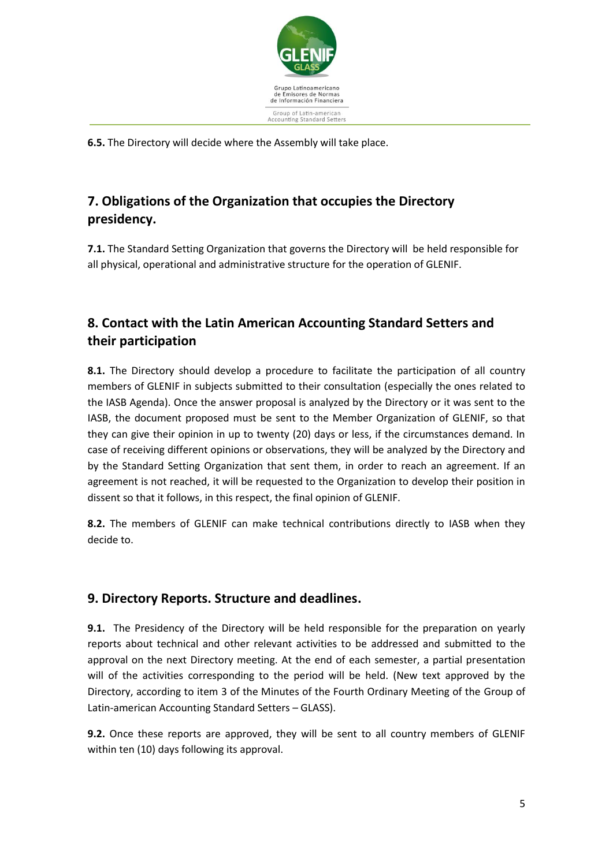

**6.5.** The Directory will decide where the Assembly will take place.

## <span id="page-5-0"></span>**7. Obligations of the Organization that occupies the Directory presidency.**

**7.1.** The Standard Setting Organization that governs the Directory will be held responsible for all physical, operational and administrative structure for the operation of GLENIF.

## <span id="page-5-1"></span>**8. Contact with the Latin American Accounting Standard Setters and their participation**

**8.1.** The Directory should develop a procedure to facilitate the participation of all country members of GLENIF in subjects submitted to their consultation (especially the ones related to the IASB Agenda). Once the answer proposal is analyzed by the Directory or it was sent to the IASB, the document proposed must be sent to the Member Organization of GLENIF, so that they can give their opinion in up to twenty (20) days or less, if the circumstances demand. In case of receiving different opinions or observations, they will be analyzed by the Directory and by the Standard Setting Organization that sent them, in order to reach an agreement. If an agreement is not reached, it will be requested to the Organization to develop their position in dissent so that it follows, in this respect, the final opinion of GLENIF.

**8.2.** The members of GLENIF can make technical contributions directly to IASB when they decide to.

## <span id="page-5-2"></span>**9. Directory Reports. Structure and deadlines.**

**9.1.** The Presidency of the Directory will be held responsible for the preparation on yearly reports about technical and other relevant activities to be addressed and submitted to the approval on the next Directory meeting. At the end of each semester, a partial presentation will of the activities corresponding to the period will be held. (New text approved by the Directory, according to item 3 of the Minutes of the Fourth Ordinary Meeting of the Group of Latin-american Accounting Standard Setters – GLASS).

**9.2.** Once these reports are approved, they will be sent to all country members of GLENIF within ten (10) days following its approval.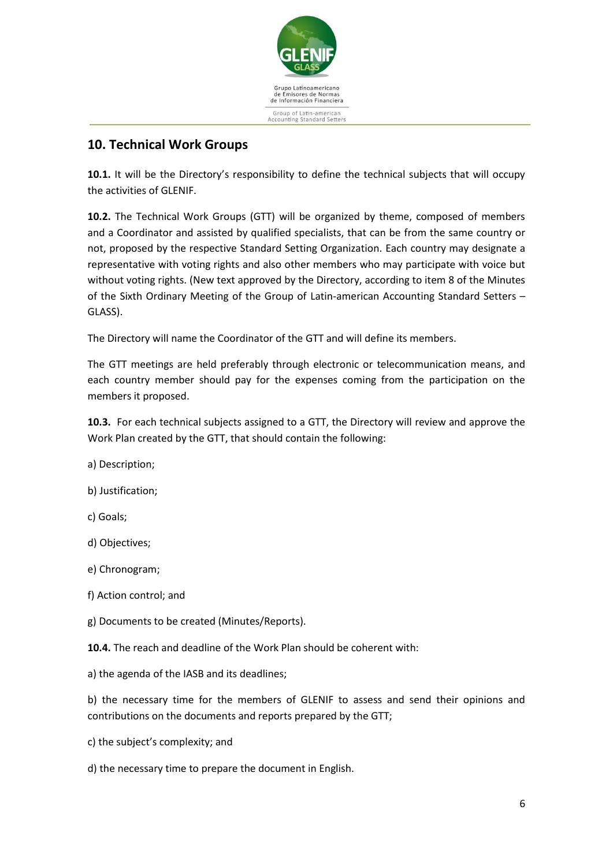

#### <span id="page-6-0"></span>**10. Technical Work Groups**

**10.1.** It will be the Directory's responsibility to define the technical subjects that will occupy the activities of GLENIF.

**10.2.** The Technical Work Groups (GTT) will be organized by theme, composed of members and a Coordinator and assisted by qualified specialists, that can be from the same country or not, proposed by the respective Standard Setting Organization. Each country may designate a representative with voting rights and also other members who may participate with voice but without voting rights. (New text approved by the Directory, according to item 8 of the Minutes of the Sixth Ordinary Meeting of the Group of Latin-american Accounting Standard Setters – GLASS).

The Directory will name the Coordinator of the GTT and will define its members.

The GTT meetings are held preferably through electronic or telecommunication means, and each country member should pay for the expenses coming from the participation on the members it proposed.

**10.3.** For each technical subjects assigned to a GTT, the Directory will review and approve the Work Plan created by the GTT, that should contain the following:

a) Description;

- b) Justification;
- c) Goals;
- d) Objectives;
- e) Chronogram;
- f) Action control; and

g) Documents to be created (Minutes/Reports).

**10.4.** The reach and deadline of the Work Plan should be coherent with:

a) the agenda of the IASB and its deadlines;

b) the necessary time for the members of GLENIF to assess and send their opinions and contributions on the documents and reports prepared by the GTT;

- c) the subject's complexity; and
- d) the necessary time to prepare the document in English.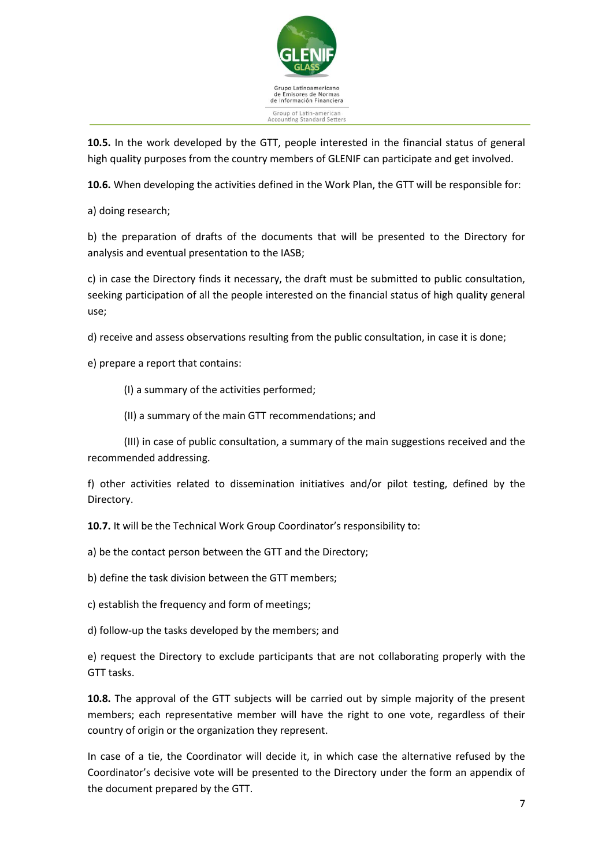

**10.5.** In the work developed by the GTT, people interested in the financial status of general high quality purposes from the country members of GLENIF can participate and get involved.

**10.6.** When developing the activities defined in the Work Plan, the GTT will be responsible for:

a) doing research;

b) the preparation of drafts of the documents that will be presented to the Directory for analysis and eventual presentation to the IASB;

c) in case the Directory finds it necessary, the draft must be submitted to public consultation, seeking participation of all the people interested on the financial status of high quality general use;

d) receive and assess observations resulting from the public consultation, in case it is done;

e) prepare a report that contains:

(I) a summary of the activities performed;

(II) a summary of the main GTT recommendations; and

(III) in case of public consultation, a summary of the main suggestions received and the recommended addressing.

f) other activities related to dissemination initiatives and/or pilot testing, defined by the Directory.

**10.7.** It will be the Technical Work Group Coordinator's responsibility to:

a) be the contact person between the GTT and the Directory;

b) define the task division between the GTT members;

c) establish the frequency and form of meetings;

d) follow-up the tasks developed by the members; and

e) request the Directory to exclude participants that are not collaborating properly with the GTT tasks.

**10.8.** The approval of the GTT subjects will be carried out by simple majority of the present members; each representative member will have the right to one vote, regardless of their country of origin or the organization they represent.

In case of a tie, the Coordinator will decide it, in which case the alternative refused by the Coordinator's decisive vote will be presented to the Directory under the form an appendix of the document prepared by the GTT.